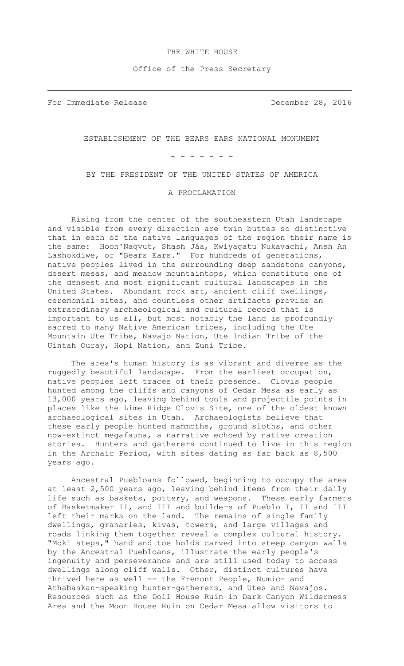## THE WHITE HOUSE

Office of the Press Secretary

For Immediate Release December 28, 2016

ESTABLISHMENT OF THE BEARS EARS NATIONAL MONUMENT

- - - - - - -

BY THE PRESIDENT OF THE UNITED STATES OF AMERICA

A PROCLAMATION

Rising from the center of the southeastern Utah landscape and visible from every direction are twin buttes so distinctive that in each of the native languages of the region their name is the same: Hoon'Naqvut, Shash Jáa, Kwiyagatu Nukavachi, Ansh An Lashokdiwe, or "Bears Ears." For hundreds of generations, native peoples lived in the surrounding deep sandstone canyons, desert mesas, and meadow mountaintops, which constitute one of the densest and most significant cultural landscapes in the United States. Abundant rock art, ancient cliff dwellings, ceremonial sites, and countless other artifacts provide an extraordinary archaeological and cultural record that is important to us all, but most notably the land is profoundly sacred to many Native American tribes, including the Ute Mountain Ute Tribe, Navajo Nation, Ute Indian Tribe of the Uintah Ouray, Hopi Nation, and Zuni Tribe.

The area's human history is as vibrant and diverse as the ruggedly beautiful landscape. From the earliest occupation, native peoples left traces of their presence. Clovis people hunted among the cliffs and canyons of Cedar Mesa as early as 13,000 years ago, leaving behind tools and projectile points in places like the Lime Ridge Clovis Site, one of the oldest known archaeological sites in Utah. Archaeologists believe that these early people hunted mammoths, ground sloths, and other now-extinct megafauna, a narrative echoed by native creation stories. Hunters and gatherers continued to live in this region in the Archaic Period, with sites dating as far back as 8,500 years ago.

Ancestral Puebloans followed, beginning to occupy the area at least 2,500 years ago, leaving behind items from their daily life such as baskets, pottery, and weapons. These early farmers of Basketmaker II, and III and builders of Pueblo I, II and III left their marks on the land. The remains of single family dwellings, granaries, kivas, towers, and large villages and roads linking them together reveal a complex cultural history. "Moki steps," hand and toe holds carved into steep canyon walls by the Ancestral Puebloans, illustrate the early people's ingenuity and perseverance and are still used today to access dwellings along cliff walls. Other, distinct cultures have thrived here as well -- the Fremont People, Numic- and Athabaskan-speaking hunter-gatherers, and Utes and Navajos. Resources such as the Doll House Ruin in Dark Canyon Wilderness Area and the Moon House Ruin on Cedar Mesa allow visitors to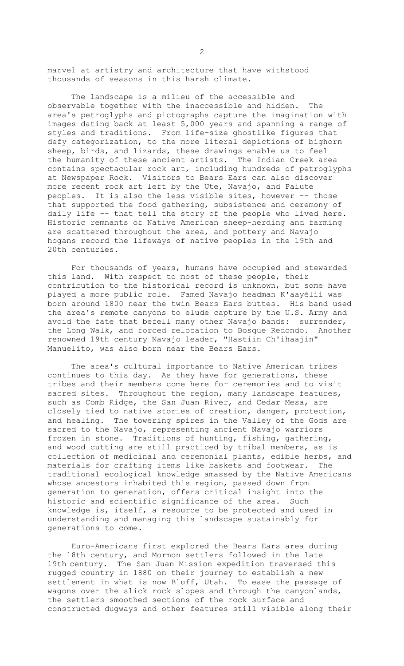marvel at artistry and architecture that have withstood thousands of seasons in this harsh climate.

The landscape is a milieu of the accessible and observable together with the inaccessible and hidden. The area's petroglyphs and pictographs capture the imagination with images dating back at least 5,000 years and spanning a range of styles and traditions. From life-size ghostlike figures that defy categorization, to the more literal depictions of bighorn sheep, birds, and lizards, these drawings enable us to feel the humanity of these ancient artists. The Indian Creek area contains spectacular rock art, including hundreds of petroglyphs at Newspaper Rock. Visitors to Bears Ears can also discover more recent rock art left by the Ute, Navajo, and Paiute peoples. It is also the less visible sites, however -- those that supported the food gathering, subsistence and ceremony of daily life -- that tell the story of the people who lived here. Historic remnants of Native American sheep-herding and farming are scattered throughout the area, and pottery and Navajo hogans record the lifeways of native peoples in the 19th and 20th centuries.

For thousands of years, humans have occupied and stewarded this land. With respect to most of these people, their contribution to the historical record is unknown, but some have played a more public role. Famed Navajo headman K'aayélii was born around 1800 near the twin Bears Ears buttes. His band used the area's remote canyons to elude capture by the U.S. Army and avoid the fate that befell many other Navajo bands: surrender, the Long Walk, and forced relocation to Bosque Redondo. Another renowned 19th century Navajo leader, "Hastiin Ch'ihaajin" Manuelito, was also born near the Bears Ears.

The area's cultural importance to Native American tribes continues to this day. As they have for generations, these tribes and their members come here for ceremonies and to visit sacred sites. Throughout the region, many landscape features, such as Comb Ridge, the San Juan River, and Cedar Mesa, are closely tied to native stories of creation, danger, protection, and healing. The towering spires in the Valley of the Gods are sacred to the Navajo, representing ancient Navajo warriors frozen in stone. Traditions of hunting, fishing, gathering, and wood cutting are still practiced by tribal members, as is collection of medicinal and ceremonial plants, edible herbs, and materials for crafting items like baskets and footwear. The traditional ecological knowledge amassed by the Native Americans whose ancestors inhabited this region, passed down from generation to generation, offers critical insight into the historic and scientific significance of the area. Such knowledge is, itself, a resource to be protected and used in understanding and managing this landscape sustainably for generations to come.

Euro-Americans first explored the Bears Ears area during the 18th century, and Mormon settlers followed in the late 19th century. The San Juan Mission expedition traversed this rugged country in 1880 on their journey to establish a new settlement in what is now Bluff, Utah. To ease the passage of wagons over the slick rock slopes and through the canyonlands, the settlers smoothed sections of the rock surface and constructed dugways and other features still visible along their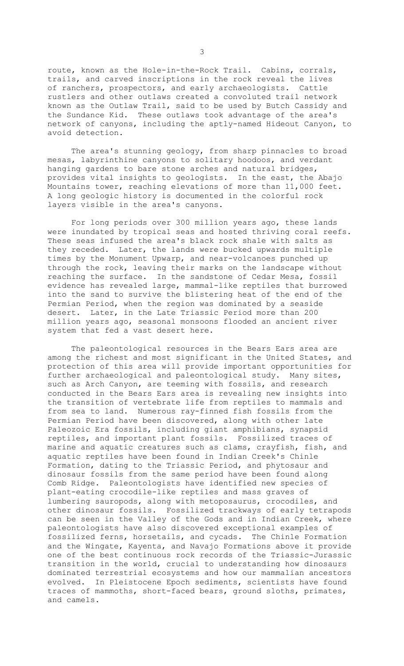route, known as the Hole-in-the-Rock Trail. Cabins, corrals, trails, and carved inscriptions in the rock reveal the lives of ranchers, prospectors, and early archaeologists. Cattle rustlers and other outlaws created a convoluted trail network known as the Outlaw Trail, said to be used by Butch Cassidy and the Sundance Kid. These outlaws took advantage of the area's network of canyons, including the aptly-named Hideout Canyon, to avoid detection.

The area's stunning geology, from sharp pinnacles to broad mesas, labyrinthine canyons to solitary hoodoos, and verdant hanging gardens to bare stone arches and natural bridges, provides vital insights to geologists. In the east, the Abajo Mountains tower, reaching elevations of more than 11,000 feet. A long geologic history is documented in the colorful rock layers visible in the area's canyons.

For long periods over 300 million years ago, these lands were inundated by tropical seas and hosted thriving coral reefs. These seas infused the area's black rock shale with salts as they receded. Later, the lands were bucked upwards multiple times by the Monument Upwarp, and near-volcanoes punched up through the rock, leaving their marks on the landscape without reaching the surface. In the sandstone of Cedar Mesa, fossil evidence has revealed large, mammal-like reptiles that burrowed into the sand to survive the blistering heat of the end of the Permian Period, when the region was dominated by a seaside desert. Later, in the Late Triassic Period more than 200 million years ago, seasonal monsoons flooded an ancient river system that fed a vast desert here.

The paleontological resources in the Bears Ears area are among the richest and most significant in the United States, and protection of this area will provide important opportunities for further archaeological and paleontological study. Many sites, such as Arch Canyon, are teeming with fossils, and research conducted in the Bears Ears area is revealing new insights into the transition of vertebrate life from reptiles to mammals and from sea to land. Numerous ray-finned fish fossils from the Permian Period have been discovered, along with other late Paleozoic Era fossils, including giant amphibians, synapsid reptiles, and important plant fossils. Fossilized traces of marine and aquatic creatures such as clams, crayfish, fish, and aquatic reptiles have been found in Indian Creek's Chinle Formation, dating to the Triassic Period, and phytosaur and dinosaur fossils from the same period have been found along Comb Ridge. Paleontologists have identified new species of plant-eating crocodile-like reptiles and mass graves of lumbering sauropods, along with metoposaurus, crocodiles, and other dinosaur fossils. Fossilized trackways of early tetrapods can be seen in the Valley of the Gods and in Indian Creek, where paleontologists have also discovered exceptional examples of fossilized ferns, horsetails, and cycads. The Chinle Formation and the Wingate, Kayenta, and Navajo Formations above it provide one of the best continuous rock records of the Triassic-Jurassic transition in the world, crucial to understanding how dinosaurs dominated terrestrial ecosystems and how our mammalian ancestors evolved. In Pleistocene Epoch sediments, scientists have found traces of mammoths, short-faced bears, ground sloths, primates, and camels.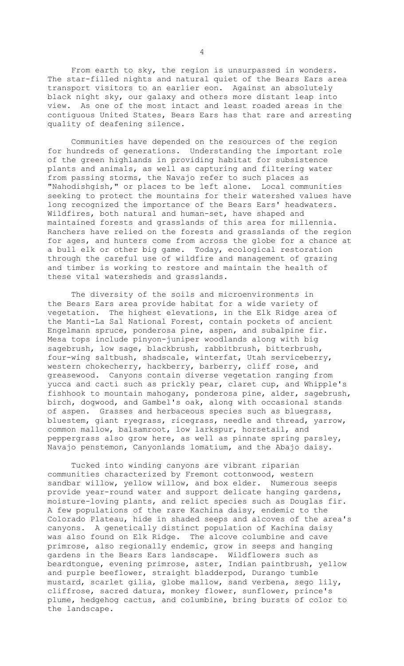From earth to sky, the region is unsurpassed in wonders. The star-filled nights and natural quiet of the Bears Ears area transport visitors to an earlier eon. Against an absolutely black night sky, our galaxy and others more distant leap into view. As one of the most intact and least roaded areas in the contiguous United States, Bears Ears has that rare and arresting quality of deafening silence.

Communities have depended on the resources of the region for hundreds of generations. Understanding the important role of the green highlands in providing habitat for subsistence plants and animals, as well as capturing and filtering water from passing storms, the Navajo refer to such places as "Nahodishgish," or places to be left alone. Local communities seeking to protect the mountains for their watershed values have long recognized the importance of the Bears Ears' headwaters. Wildfires, both natural and human-set, have shaped and maintained forests and grasslands of this area for millennia. Ranchers have relied on the forests and grasslands of the region for ages, and hunters come from across the globe for a chance at a bull elk or other big game. Today, ecological restoration through the careful use of wildfire and management of grazing and timber is working to restore and maintain the health of these vital watersheds and grasslands.

The diversity of the soils and microenvironments in the Bears Ears area provide habitat for a wide variety of vegetation. The highest elevations, in the Elk Ridge area of the Manti-La Sal National Forest, contain pockets of ancient Engelmann spruce, ponderosa pine, aspen, and subalpine fir. Mesa tops include pinyon-juniper woodlands along with big sagebrush, low sage, blackbrush, rabbitbrush, bitterbrush, four-wing saltbush, shadscale, winterfat, Utah serviceberry, western chokecherry, hackberry, barberry, cliff rose, and greasewood. Canyons contain diverse vegetation ranging from yucca and cacti such as prickly pear, claret cup, and Whipple's fishhook to mountain mahogany, ponderosa pine, alder, sagebrush, birch, dogwood, and Gambel's oak, along with occasional stands of aspen. Grasses and herbaceous species such as bluegrass, bluestem, giant ryegrass, ricegrass, needle and thread, yarrow, common mallow, balsamroot, low larkspur, horsetail, and peppergrass also grow here, as well as pinnate spring parsley, Navajo penstemon, Canyonlands lomatium, and the Abajo daisy.

Tucked into winding canyons are vibrant riparian communities characterized by Fremont cottonwood, western sandbar willow, yellow willow, and box elder. Numerous seeps provide year-round water and support delicate hanging gardens, moisture-loving plants, and relict species such as Douglas fir. A few populations of the rare Kachina daisy, endemic to the Colorado Plateau, hide in shaded seeps and alcoves of the area's canyons. A genetically distinct population of Kachina daisy was also found on Elk Ridge. The alcove columbine and cave primrose, also regionally endemic, grow in seeps and hanging gardens in the Bears Ears landscape. Wildflowers such as beardtongue, evening primrose, aster, Indian paintbrush, yellow and purple beeflower, straight bladderpod, Durango tumble mustard, scarlet gilia, globe mallow, sand verbena, sego lily, cliffrose, sacred datura, monkey flower, sunflower, prince's plume, hedgehog cactus, and columbine, bring bursts of color to the landscape.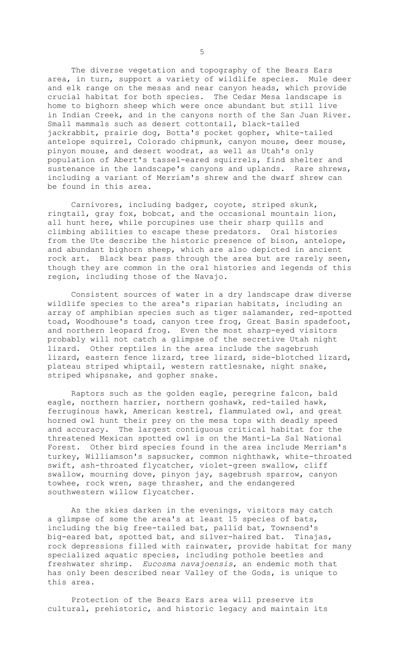The diverse vegetation and topography of the Bears Ears area, in turn, support a variety of wildlife species. Mule deer and elk range on the mesas and near canyon heads, which provide crucial habitat for both species. The Cedar Mesa landscape is home to bighorn sheep which were once abundant but still live in Indian Creek, and in the canyons north of the San Juan River. Small mammals such as desert cottontail, black-tailed jackrabbit, prairie dog, Botta's pocket gopher, white-tailed antelope squirrel, Colorado chipmunk, canyon mouse, deer mouse, pinyon mouse, and desert woodrat, as well as Utah's only population of Abert's tassel-eared squirrels, find shelter and sustenance in the landscape's canyons and uplands. Rare shrews, including a variant of Merriam's shrew and the dwarf shrew can be found in this area.

Carnivores, including badger, coyote, striped skunk, ringtail, gray fox, bobcat, and the occasional mountain lion, all hunt here, while porcupines use their sharp quills and climbing abilities to escape these predators. Oral histories from the Ute describe the historic presence of bison, antelope, and abundant bighorn sheep, which are also depicted in ancient rock art. Black bear pass through the area but are rarely seen, though they are common in the oral histories and legends of this region, including those of the Navajo.

Consistent sources of water in a dry landscape draw diverse wildlife species to the area's riparian habitats, including an array of amphibian species such as tiger salamander, red-spotted toad, Woodhouse's toad, canyon tree frog, Great Basin spadefoot, and northern leopard frog. Even the most sharp-eyed visitors probably will not catch a glimpse of the secretive Utah night lizard. Other reptiles in the area include the sagebrush lizard, eastern fence lizard, tree lizard, side-blotched lizard, plateau striped whiptail, western rattlesnake, night snake, striped whipsnake, and gopher snake.

Raptors such as the golden eagle, peregrine falcon, bald eagle, northern harrier, northern goshawk, red-tailed hawk, ferruginous hawk, American kestrel, flammulated owl, and great horned owl hunt their prey on the mesa tops with deadly speed and accuracy. The largest contiguous critical habitat for the threatened Mexican spotted owl is on the Manti-La Sal National Forest. Other bird species found in the area include Merriam's turkey, Williamson's sapsucker, common nighthawk, white-throated swift, ash-throated flycatcher, violet-green swallow, cliff swallow, mourning dove, pinyon jay, sagebrush sparrow, canyon towhee, rock wren, sage thrasher, and the endangered southwestern willow flycatcher.

As the skies darken in the evenings, visitors may catch a glimpse of some the area's at least 15 species of bats, including the big free-tailed bat, pallid bat, Townsend's big-eared bat, spotted bat, and silver-haired bat. Tinajas, rock depressions filled with rainwater, provide habitat for many specialized aquatic species, including pothole beetles and freshwater shrimp. *Eucosma navajoensis*, an endemic moth that has only been described near Valley of the Gods, is unique to this area.

Protection of the Bears Ears area will preserve its cultural, prehistoric, and historic legacy and maintain its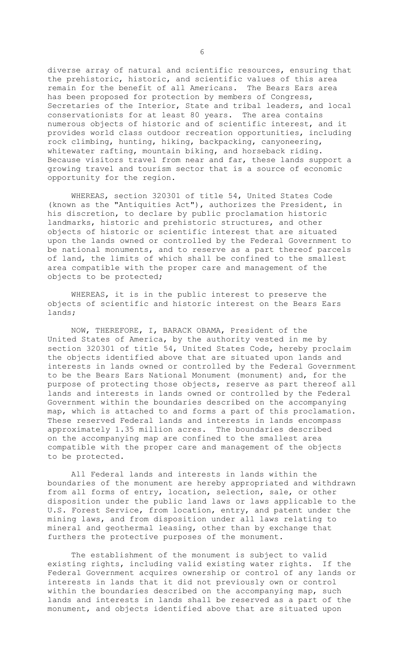diverse array of natural and scientific resources, ensuring that the prehistoric, historic, and scientific values of this area remain for the benefit of all Americans. The Bears Ears area has been proposed for protection by members of Congress, Secretaries of the Interior, State and tribal leaders, and local conservationists for at least 80 years. The area contains numerous objects of historic and of scientific interest, and it provides world class outdoor recreation opportunities, including rock climbing, hunting, hiking, backpacking, canyoneering, whitewater rafting, mountain biking, and horseback riding. Because visitors travel from near and far, these lands support a growing travel and tourism sector that is a source of economic opportunity for the region.

WHEREAS, section 320301 of title 54, United States Code (known as the "Antiquities Act"), authorizes the President, in his discretion, to declare by public proclamation historic landmarks, historic and prehistoric structures, and other objects of historic or scientific interest that are situated upon the lands owned or controlled by the Federal Government to be national monuments, and to reserve as a part thereof parcels of land, the limits of which shall be confined to the smallest area compatible with the proper care and management of the objects to be protected;

WHEREAS, it is in the public interest to preserve the objects of scientific and historic interest on the Bears Ears lands;

NOW, THEREFORE, I, BARACK OBAMA, President of the United States of America, by the authority vested in me by section 320301 of title 54, United States Code, hereby proclaim the objects identified above that are situated upon lands and interests in lands owned or controlled by the Federal Government to be the Bears Ears National Monument (monument) and, for the purpose of protecting those objects, reserve as part thereof all lands and interests in lands owned or controlled by the Federal Government within the boundaries described on the accompanying map, which is attached to and forms a part of this proclamation. These reserved Federal lands and interests in lands encompass approximately 1.35 million acres. The boundaries described on the accompanying map are confined to the smallest area compatible with the proper care and management of the objects to be protected.

All Federal lands and interests in lands within the boundaries of the monument are hereby appropriated and withdrawn from all forms of entry, location, selection, sale, or other disposition under the public land laws or laws applicable to the U.S. Forest Service, from location, entry, and patent under the mining laws, and from disposition under all laws relating to mineral and geothermal leasing, other than by exchange that furthers the protective purposes of the monument.

The establishment of the monument is subject to valid existing rights, including valid existing water rights. If the Federal Government acquires ownership or control of any lands or interests in lands that it did not previously own or control within the boundaries described on the accompanying map, such lands and interests in lands shall be reserved as a part of the monument, and objects identified above that are situated upon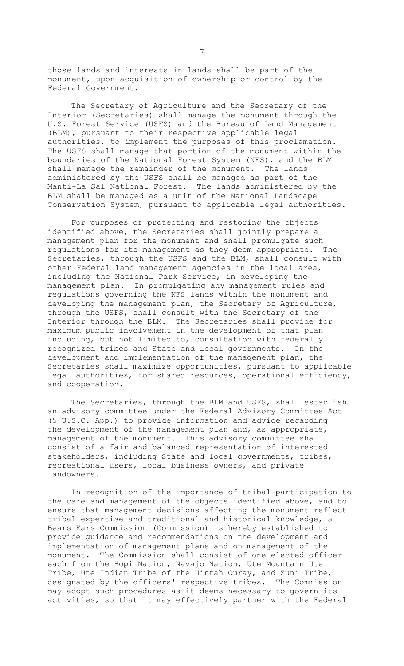those lands and interests in lands shall be part of the monument, upon acquisition of ownership or control by the Federal Government.

The Secretary of Agriculture and the Secretary of the Interior (Secretaries) shall manage the monument through the U.S. Forest Service (USFS) and the Bureau of Land Management (BLM), pursuant to their respective applicable legal authorities, to implement the purposes of this proclamation. The USFS shall manage that portion of the monument within the boundaries of the National Forest System (NFS), and the BLM shall manage the remainder of the monument. The lands administered by the USFS shall be managed as part of the Manti-La Sal National Forest. The lands administered by the BLM shall be managed as a unit of the National Landscape Conservation System, pursuant to applicable legal authorities.

For purposes of protecting and restoring the objects identified above, the Secretaries shall jointly prepare a management plan for the monument and shall promulgate such regulations for its management as they deem appropriate. The Secretaries, through the USFS and the BLM, shall consult with other Federal land management agencies in the local area, including the National Park Service, in developing the management plan. In promulgating any management rules and regulations governing the NFS lands within the monument and developing the management plan, the Secretary of Agriculture, through the USFS, shall consult with the Secretary of the Interior through the BLM. The Secretaries shall provide for maximum public involvement in the development of that plan including, but not limited to, consultation with federally recognized tribes and State and local governments. In the development and implementation of the management plan, the Secretaries shall maximize opportunities, pursuant to applicable legal authorities, for shared resources, operational efficiency, and cooperation.

The Secretaries, through the BLM and USFS, shall establish an advisory committee under the Federal Advisory Committee Act (5 U.S.C. App.) to provide information and advice regarding the development of the management plan and, as appropriate, management of the monument. This advisory committee shall consist of a fair and balanced representation of interested stakeholders, including State and local governments, tribes, recreational users, local business owners, and private landowners.

In recognition of the importance of tribal participation to the care and management of the objects identified above, and to ensure that management decisions affecting the monument reflect tribal expertise and traditional and historical knowledge, a Bears Ears Commission (Commission) is hereby established to provide guidance and recommendations on the development and implementation of management plans and on management of the monument. The Commission shall consist of one elected officer each from the Hopi Nation, Navajo Nation, Ute Mountain Ute Tribe, Ute Indian Tribe of the Uintah Ouray, and Zuni Tribe, designated by the officers' respective tribes. The Commission may adopt such procedures as it deems necessary to govern its activities, so that it may effectively partner with the Federal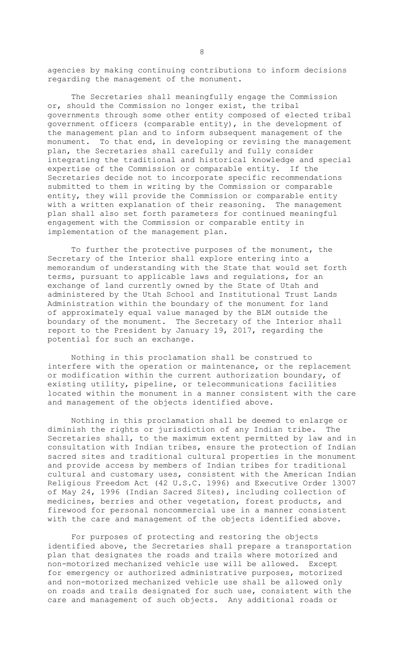agencies by making continuing contributions to inform decisions regarding the management of the monument.

The Secretaries shall meaningfully engage the Commission or, should the Commission no longer exist, the tribal governments through some other entity composed of elected tribal government officers (comparable entity), in the development of the management plan and to inform subsequent management of the monument. To that end, in developing or revising the management plan, the Secretaries shall carefully and fully consider integrating the traditional and historical knowledge and special expertise of the Commission or comparable entity. If the Secretaries decide not to incorporate specific recommendations submitted to them in writing by the Commission or comparable entity, they will provide the Commission or comparable entity with a written explanation of their reasoning. The management plan shall also set forth parameters for continued meaningful engagement with the Commission or comparable entity in implementation of the management plan.

To further the protective purposes of the monument, the Secretary of the Interior shall explore entering into a memorandum of understanding with the State that would set forth terms, pursuant to applicable laws and regulations, for an exchange of land currently owned by the State of Utah and administered by the Utah School and Institutional Trust Lands Administration within the boundary of the monument for land of approximately equal value managed by the BLM outside the boundary of the monument. The Secretary of the Interior shall report to the President by January 19, 2017, regarding the potential for such an exchange.

Nothing in this proclamation shall be construed to interfere with the operation or maintenance, or the replacement or modification within the current authorization boundary, of existing utility, pipeline, or telecommunications facilities located within the monument in a manner consistent with the care and management of the objects identified above.

Nothing in this proclamation shall be deemed to enlarge or diminish the rights or jurisdiction of any Indian tribe. The Secretaries shall, to the maximum extent permitted by law and in consultation with Indian tribes, ensure the protection of Indian sacred sites and traditional cultural properties in the monument and provide access by members of Indian tribes for traditional cultural and customary uses, consistent with the American Indian Religious Freedom Act (42 U.S.C. 1996) and Executive Order 13007 of May 24, 1996 (Indian Sacred Sites), including collection of medicines, berries and other vegetation, forest products, and firewood for personal noncommercial use in a manner consistent with the care and management of the objects identified above.

For purposes of protecting and restoring the objects identified above, the Secretaries shall prepare a transportation plan that designates the roads and trails where motorized and non-motorized mechanized vehicle use will be allowed. Except for emergency or authorized administrative purposes, motorized and non-motorized mechanized vehicle use shall be allowed only on roads and trails designated for such use, consistent with the care and management of such objects. Any additional roads or